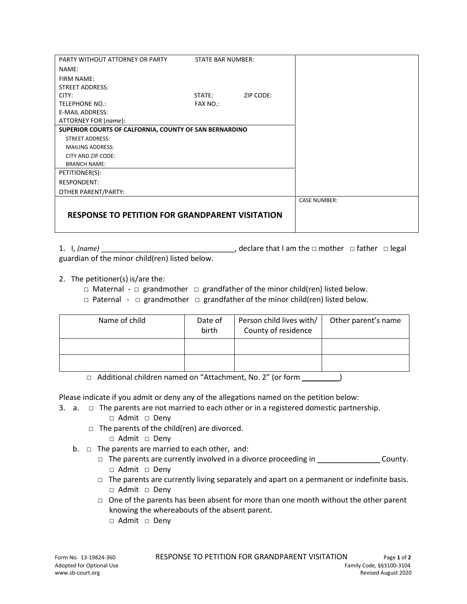| PARTY WITHOUT ATTORNEY OR PARTY                        | <b>STATE BAR NUMBER:</b> |           |                     |
|--------------------------------------------------------|--------------------------|-----------|---------------------|
| NAME:                                                  |                          |           |                     |
| FIRM NAME:                                             |                          |           |                     |
| <b>STREET ADDRESS:</b>                                 |                          |           |                     |
| CITY:                                                  | STATE:                   | ZIP CODE: |                     |
| <b>TELEPHONE NO.:</b>                                  | FAX NO.:                 |           |                     |
| <b>E-MAIL ADDRESS:</b>                                 |                          |           |                     |
| ATTORNEY FOR (name):                                   |                          |           |                     |
| SUPERIOR COURTS OF CALFORNIA, COUNTY OF SAN BERNARDINO |                          |           |                     |
| <b>STREET ADDRESS:</b>                                 |                          |           |                     |
| <b>MAILING ADDRESS:</b>                                |                          |           |                     |
| CITY AND ZIP CODE:                                     |                          |           |                     |
| <b>BRANCH NAME:</b>                                    |                          |           |                     |
| PETITIONER(S):                                         |                          |           |                     |
| <b>RESPONDENT:</b>                                     |                          |           |                     |
| OTHER PARENT/PARTY:                                    |                          |           |                     |
|                                                        |                          |           | <b>CASE NUMBER:</b> |
|                                                        |                          |           |                     |
| <b>RESPONSE TO PETITION FOR GRANDPARENT VISITATION</b> |                          |           |                     |
|                                                        |                          |           |                     |

1. I, *(name)* \_\_\_\_\_\_\_\_\_\_\_\_\_\_\_\_\_\_\_\_\_\_\_\_\_\_\_\_\_\_\_\_, declare that I am the □ mother □ father □ legal guardian of the minor child(ren) listed below.

- 2. The petitioner(s) is/are the:
	- □ Maternal □ grandmother □ grandfather of the minor child(ren) listed below.
	- $\Box$  Paternal  $\Box$  grandmother  $\Box$  grandfather of the minor child(ren) listed below.

| Name of child | Date of<br>birth | Person child lives with/<br>County of residence | Other parent's name |
|---------------|------------------|-------------------------------------------------|---------------------|
|               |                  |                                                 |                     |
|               |                  |                                                 |                     |

□ Additional children named on "Attachment, No. 2" (or form \_\_\_\_\_\_\_\_\_\_\_)

Please indicate if you admit or deny any of the allegations named on the petition below:

- 3. a.  $\Box$  The parents are not married to each other or in a registered domestic partnership.
	- □ Admit □ Deny  $\Box$  The parents of the child(ren) are divorced.
		- □ Admit □ Deny
	- b.  $\Box$  The parents are married to each other, and:
		- $\Box$  The parents are currently involved in a divorce proceeding in \_\_\_\_\_\_\_\_\_\_\_\_\_\_\_\_\_\_\_\_ County. □ Admit □ Deny
		- $\Box$  The parents are currently living separately and apart on a permanent or indefinite basis. □ Admit □ Deny
		- $\Box$  One of the parents has been absent for more than one month without the other parent knowing the whereabouts of the absent parent.
			- □ Admit □ Deny